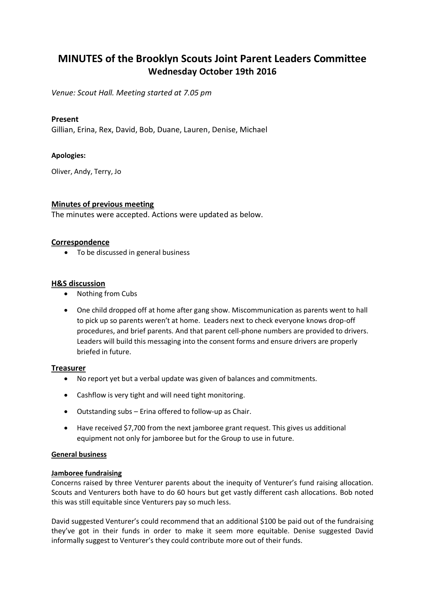# **MINUTES of the Brooklyn Scouts Joint Parent Leaders Committee Wednesday October 19th 2016**

*Venue: Scout Hall. Meeting started at 7.05 pm*

# **Present**

Gillian, Erina, Rex, David, Bob, Duane, Lauren, Denise, Michael

# **Apologies:**

Oliver, Andy, Terry, Jo

# **Minutes of previous meeting**

The minutes were accepted. Actions were updated as below.

#### **Correspondence**

• To be discussed in general business

# **H&S discussion**

- Nothing from Cubs
- One child dropped off at home after gang show. Miscommunication as parents went to hall to pick up so parents weren't at home. Leaders next to check everyone knows drop-off procedures, and brief parents. And that parent cell-phone numbers are provided to drivers. Leaders will build this messaging into the consent forms and ensure drivers are properly briefed in future.

#### **Treasurer**

- No report yet but a verbal update was given of balances and commitments.
- Cashflow is very tight and will need tight monitoring.
- Outstanding subs Erina offered to follow-up as Chair.
- Have received \$7,700 from the next jamboree grant request. This gives us additional equipment not only for jamboree but for the Group to use in future.

#### **General business**

#### **Jamboree fundraising**

Concerns raised by three Venturer parents about the inequity of Venturer's fund raising allocation. Scouts and Venturers both have to do 60 hours but get vastly different cash allocations. Bob noted this was still equitable since Venturers pay so much less.

David suggested Venturer's could recommend that an additional \$100 be paid out of the fundraising they've got in their funds in order to make it seem more equitable. Denise suggested David informally suggest to Venturer's they could contribute more out of their funds.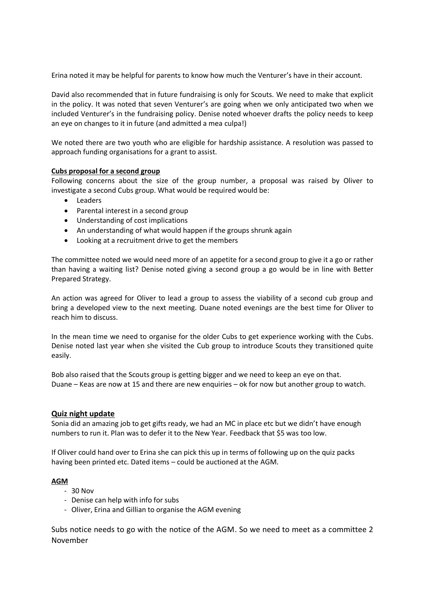Erina noted it may be helpful for parents to know how much the Venturer's have in their account.

David also recommended that in future fundraising is only for Scouts. We need to make that explicit in the policy. It was noted that seven Venturer's are going when we only anticipated two when we included Venturer's in the fundraising policy. Denise noted whoever drafts the policy needs to keep an eye on changes to it in future (and admitted a mea culpa!)

We noted there are two youth who are eligible for hardship assistance. A resolution was passed to approach funding organisations for a grant to assist.

# **Cubs proposal for a second group**

Following concerns about the size of the group number, a proposal was raised by Oliver to investigate a second Cubs group. What would be required would be:

- Leaders
- Parental interest in a second group
- Understanding of cost implications
- An understanding of what would happen if the groups shrunk again
- Looking at a recruitment drive to get the members

The committee noted we would need more of an appetite for a second group to give it a go or rather than having a waiting list? Denise noted giving a second group a go would be in line with Better Prepared Strategy.

An action was agreed for Oliver to lead a group to assess the viability of a second cub group and bring a developed view to the next meeting. Duane noted evenings are the best time for Oliver to reach him to discuss.

In the mean time we need to organise for the older Cubs to get experience working with the Cubs. Denise noted last year when she visited the Cub group to introduce Scouts they transitioned quite easily.

Bob also raised that the Scouts group is getting bigger and we need to keep an eye on that. Duane – Keas are now at 15 and there are new enquiries – ok for now but another group to watch.

#### **Quiz night update**

Sonia did an amazing job to get gifts ready, we had an MC in place etc but we didn't have enough numbers to run it. Plan was to defer it to the New Year. Feedback that \$5 was too low.

If Oliver could hand over to Erina she can pick this up in terms of following up on the quiz packs having been printed etc. Dated items – could be auctioned at the AGM.

#### **AGM**

- 30 Nov
- Denise can help with info for subs
- Oliver, Erina and Gillian to organise the AGM evening

Subs notice needs to go with the notice of the AGM. So we need to meet as a committee 2 November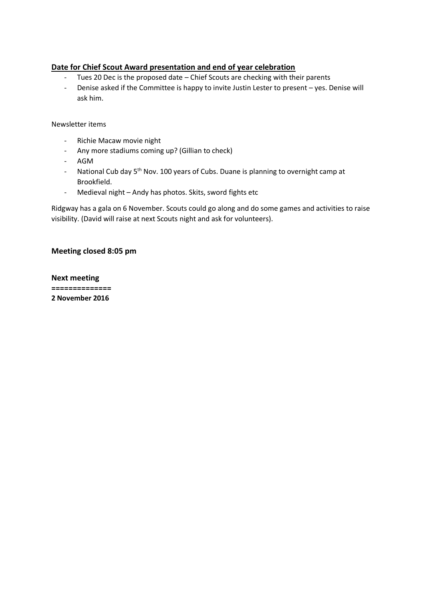# **Date for Chief Scout Award presentation and end of year celebration**

- Tues 20 Dec is the proposed date Chief Scouts are checking with their parents
- Denise asked if the Committee is happy to invite Justin Lester to present yes. Denise will ask him.

#### Newsletter items

- Richie Macaw movie night
- Any more stadiums coming up? (Gillian to check)
- AGM
- National Cub day 5<sup>th</sup> Nov. 100 years of Cubs. Duane is planning to overnight camp at Brookfield.
- Medieval night Andy has photos. Skits, sword fights etc

Ridgway has a gala on 6 November. Scouts could go along and do some games and activities to raise visibility. (David will raise at next Scouts night and ask for volunteers).

# **Meeting closed 8:05 pm**

**Next meeting ============== 2 November 2016**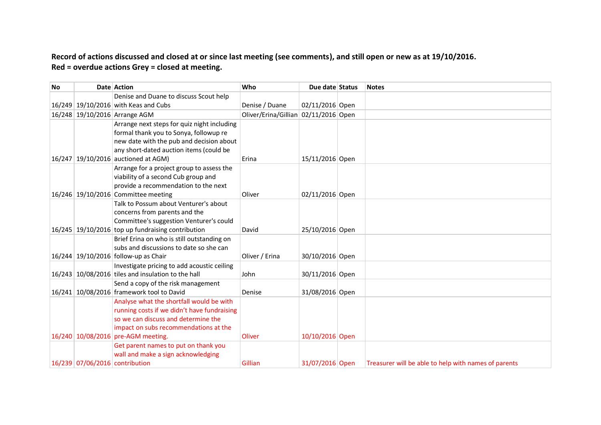# **Record of actions discussed and closed at or since last meeting (see comments), and still open or new as at 19/10/2016. Red = overdue actions Grey = closed at meeting.**

| <b>No</b> |                                | Date Action                                                                                    | Who                                  | Due date Status | <b>Notes</b>                                         |
|-----------|--------------------------------|------------------------------------------------------------------------------------------------|--------------------------------------|-----------------|------------------------------------------------------|
|           |                                | Denise and Duane to discuss Scout help                                                         |                                      |                 |                                                      |
|           |                                | 16/249 19/10/2016 with Keas and Cubs                                                           | Denise / Duane                       | 02/11/2016 Open |                                                      |
|           |                                | 16/248 19/10/2016 Arrange AGM                                                                  | Oliver/Erina/Gillian 02/11/2016 Open |                 |                                                      |
|           |                                | Arrange next steps for quiz night including                                                    |                                      |                 |                                                      |
|           |                                | formal thank you to Sonya, followup re                                                         |                                      |                 |                                                      |
|           |                                | new date with the pub and decision about                                                       |                                      |                 |                                                      |
|           |                                | any short-dated auction items (could be                                                        |                                      |                 |                                                      |
|           |                                | 16/247 19/10/2016 auctioned at AGM)                                                            | Erina                                | 15/11/2016 Open |                                                      |
|           |                                | Arrange for a project group to assess the                                                      |                                      |                 |                                                      |
|           |                                | viability of a second Cub group and                                                            |                                      |                 |                                                      |
|           |                                | provide a recommendation to the next                                                           |                                      |                 |                                                      |
|           |                                | 16/246 19/10/2016 Committee meeting                                                            | Oliver                               | 02/11/2016 Open |                                                      |
|           |                                | Talk to Possum about Venturer's about                                                          |                                      |                 |                                                      |
|           |                                | concerns from parents and the                                                                  |                                      |                 |                                                      |
|           |                                | Committee's suggestion Venturer's could<br>$16/245$ 19/10/2016 top up fundraising contribution | David                                | 25/10/2016 Open |                                                      |
|           |                                | Brief Erina on who is still outstanding on                                                     |                                      |                 |                                                      |
|           |                                | subs and discussions to date so she can                                                        |                                      |                 |                                                      |
|           |                                | 16/244 19/10/2016 follow-up as Chair                                                           | Oliver / Erina                       | 30/10/2016 Open |                                                      |
|           |                                | Investigate pricing to add acoustic ceiling                                                    |                                      |                 |                                                      |
|           |                                | $16/243$ 10/08/2016 tiles and insulation to the hall                                           | John                                 | 30/11/2016 Open |                                                      |
|           |                                | Send a copy of the risk management                                                             |                                      |                 |                                                      |
|           |                                | 16/241 10/08/2016 framework tool to David                                                      | Denise                               | 31/08/2016 Open |                                                      |
|           |                                | Analyse what the shortfall would be with                                                       |                                      |                 |                                                      |
|           |                                | running costs if we didn't have fundraising                                                    |                                      |                 |                                                      |
|           |                                | so we can discuss and determine the                                                            |                                      |                 |                                                      |
|           |                                | impact on subs recommendations at the                                                          |                                      |                 |                                                      |
|           |                                | 16/240 10/08/2016 pre-AGM meeting.                                                             | Oliver                               | 10/10/2016 Open |                                                      |
|           |                                | Get parent names to put on thank you                                                           |                                      |                 |                                                      |
|           |                                | wall and make a sign acknowledging                                                             |                                      |                 |                                                      |
|           | 16/239 07/06/2016 contribution |                                                                                                | Gillian                              | 31/07/2016 Open | Treasurer will be able to help with names of parents |